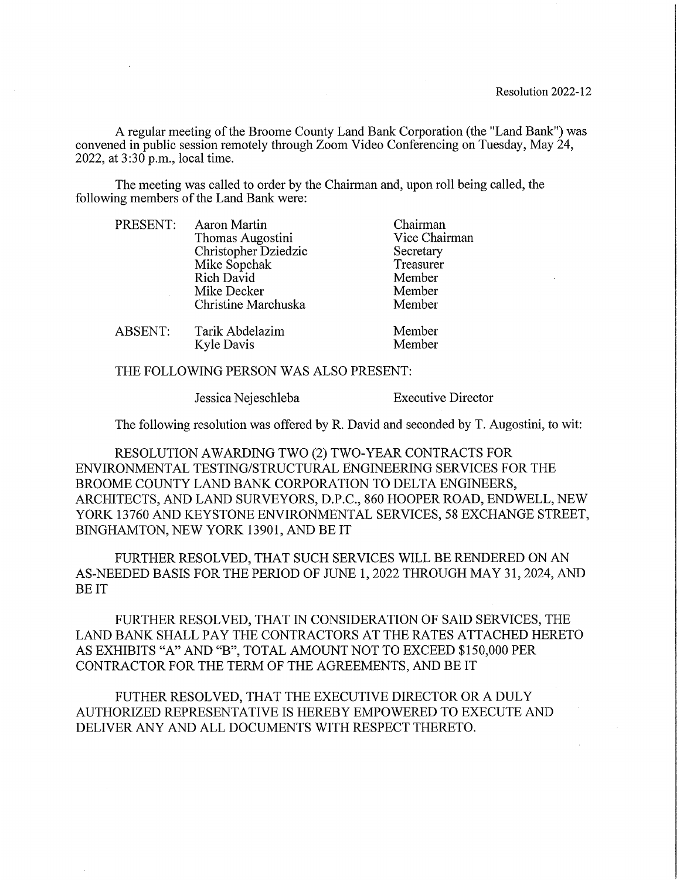A regular meeting of the Broome County Land Bank Corporation (the "Land Bank") was convened in public session remotely through Zoom Video Conferencing on Tuesday, May 24, 2022, at 3:30 p.m., local time.

The meeting was called to order by the Chairman and, upon roll being called, the following members of the Land Bank were:

| PRESENT:       | Aaron Martin         | Chairman      |
|----------------|----------------------|---------------|
|                | Thomas Augostini     | Vice Chairman |
|                | Christopher Dziedzic | Secretary     |
|                | Mike Sopchak         | Treasurer     |
|                | Rich David           | Member        |
|                | Mike Decker          | Member        |
|                | Christine Marchuska  | Member        |
| <b>ABSENT:</b> | Tarik Abdelazim      | Member        |
|                | <b>Kyle Davis</b>    | Member        |

THE FOLLOWING PERSON WAS ALSO PRESENT:

Jessica Nejeschleba

**Executive Director** 

The following resolution was offered by R. David and seconded by T. Augostini, to wit:

RESOLUTION AWARDING TWO (2) TWO-YEAR CONTRACTS FOR ENVIRONMENTAL TESTING/STRUCTURAL ENGINEERING SERVICES FOR THE BROOME COUNTY LAND BANK CORPORATION TO DELTA ENGINEERS, ARCHITECTS, AND LAND SURVEYORS, D.P.C., 860 HOOPER ROAD, ENDWELL, NEW YORK 13760 AND KEYSTONE ENVIRONMENTAL SERVICES, 58 EXCHANGE STREET, BINGHAMTON, NEW YORK 13901, AND BE IT

FURTHER RESOLVED, THAT SUCH SERVICES WILL BE RENDERED ON AN AS-NEEDED BASIS FOR THE PERIOD OF JUNE 1, 2022 THROUGH MAY 31, 2024, AND **BEIT** 

FURTHER RESOLVED, THAT IN CONSIDERATION OF SAID SERVICES, THE LAND BANK SHALL PAY THE CONTRACTORS AT THE RATES ATTACHED HERETO AS EXHIBITS "A" AND "B", TOTAL AMOUNT NOT TO EXCEED \$150,000 PER CONTRACTOR FOR THE TERM OF THE AGREEMENTS, AND BE IT

FUTHER RESOLVED, THAT THE EXECUTIVE DIRECTOR OR A DULY AUTHORIZED REPRESENTATIVE IS HEREBY EMPOWERED TO EXECUTE AND DELIVER ANY AND ALL DOCUMENTS WITH RESPECT THERETO.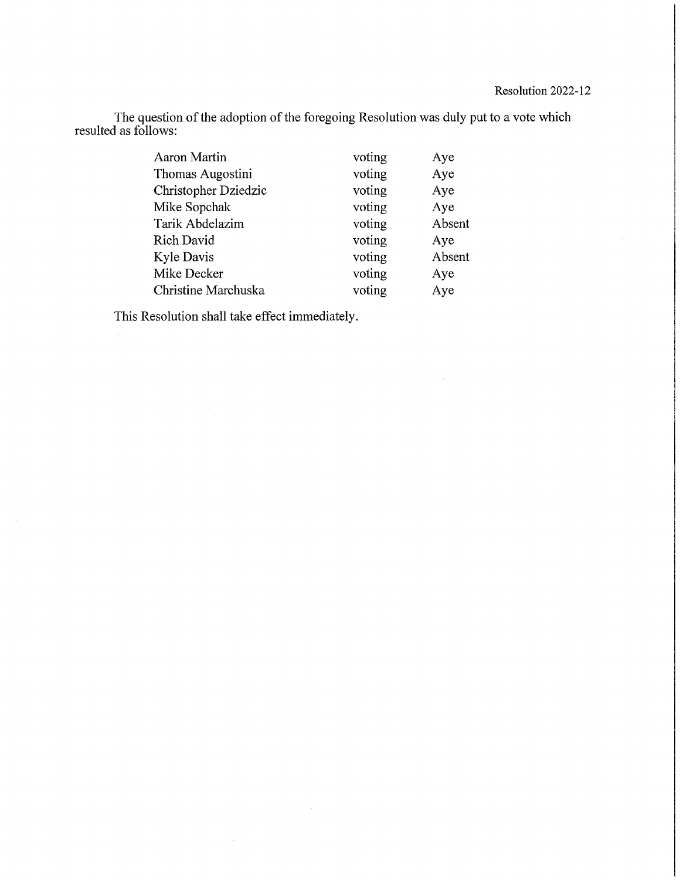The question of the adoption of the foregoing Resolution was duly put to a vote which resulted as follows:

| Aaron Martin         | voting | Aye    |
|----------------------|--------|--------|
| Thomas Augostini     | voting | Aye    |
| Christopher Dziedzic | voting | Aye    |
| Mike Sopchak         | voting | Aye    |
| Tarik Abdelazim      | voting | Absent |
| Rich David           | voting | Aye    |
| Kyle Davis           | voting | Absent |
| Mike Decker          | voting | Aye    |
| Christine Marchuska  | voting | Aye    |

This Resolution shall take effect immediately.

 $\bar{z}$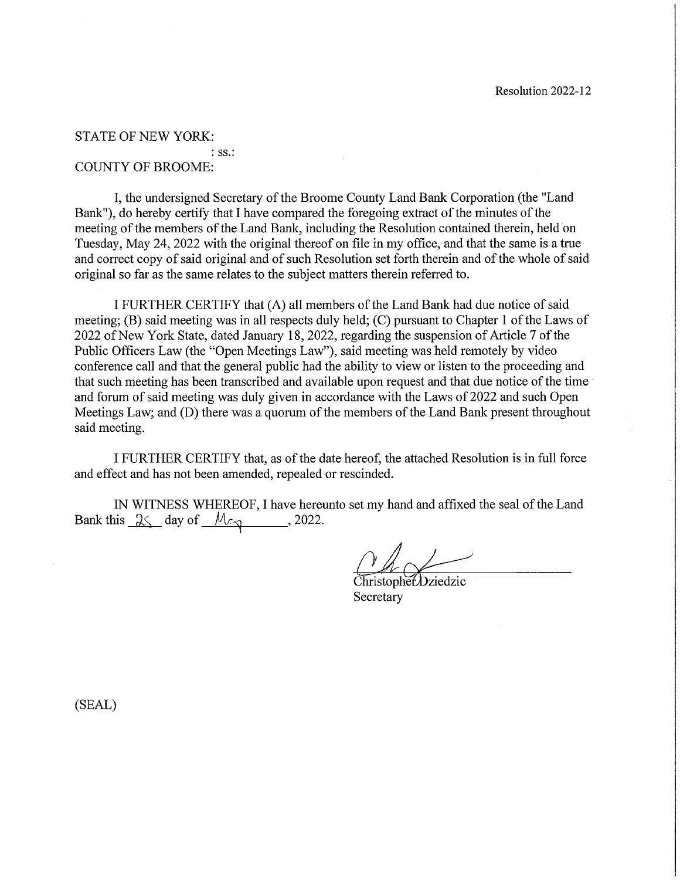#### **STATE OF NEW YORK:**

#### $:$  SS $.$ : **COUNTY OF BROOME:**

I, the undersigned Secretary of the Broome County Land Bank Corporation (the "Land" Bank"), do hereby certify that I have compared the foregoing extract of the minutes of the meeting of the members of the Land Bank, including the Resolution contained therein, held on Tuesday, May 24, 2022 with the original thereof on file in my office, and that the same is a true and correct copy of said original and of such Resolution set forth therein and of the whole of said original so far as the same relates to the subject matters therein referred to.

I FURTHER CERTIFY that (A) all members of the Land Bank had due notice of said meeting; (B) said meeting was in all respects duly held; (C) pursuant to Chapter 1 of the Laws of 2022 of New York State, dated January 18, 2022, regarding the suspension of Article 7 of the Public Officers Law (the "Open Meetings Law"), said meeting was held remotely by video conference call and that the general public had the ability to view or listen to the proceeding and that such meeting has been transcribed and available upon request and that due notice of the time and forum of said meeting was duly given in accordance with the Laws of 2022 and such Open Meetings Law; and (D) there was a quorum of the members of the Land Bank present throughout said meeting.

I FURTHER CERTIFY that, as of the date hereof, the attached Resolution is in full force and effect and has not been amended, repealed or rescinded.

IN WITNESS WHEREOF, I have hereunto set my hand and affixed the seal of the Land Bank this  $\sqrt{25}$  day of  $\sqrt{25}$ , 2022.

ChristophetDziedzic Secretary

 $(SEAL)$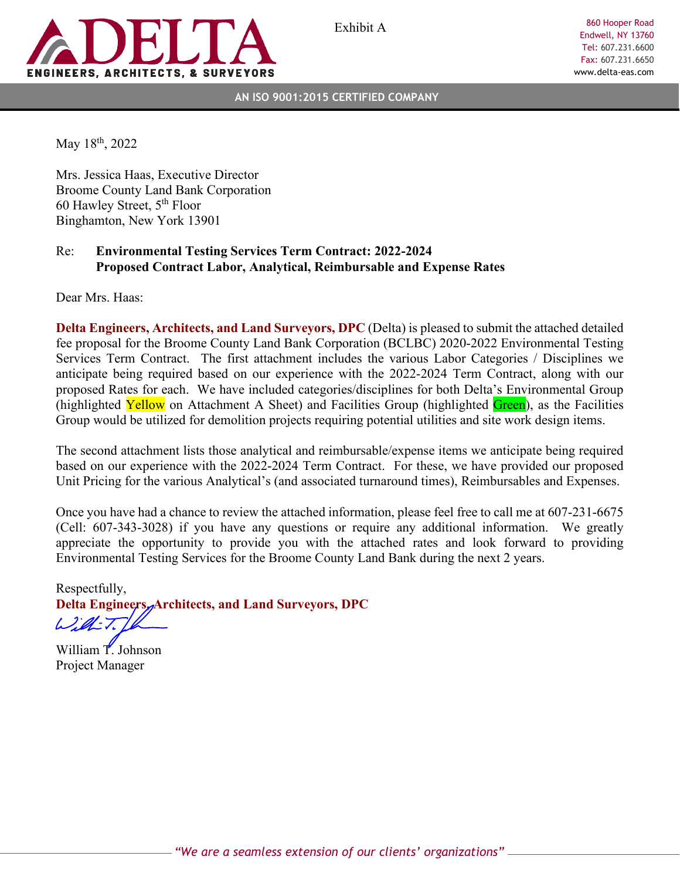

Exhibit A

860 Hooper Road Endwell, NY 13760 Tel: 607.231.6600 Fax: 607.231.6650 www.delta-eas.com

**AN ISO 9001:2015 CERTIFIED COMPANY**

May 18<sup>th</sup>, 2022

Mrs. Jessica Haas, Executive Director Broome County Land Bank Corporation 60 Hawley Street, 5th Floor Binghamton, New York 13901

#### Re: **Environmental Testing Services Term Contract: 2022-2024 Proposed Contract Labor, Analytical, Reimbursable and Expense Rates**

Dear Mrs. Haas:

**Delta Engineers, Architects, and Land Surveyors, DPC** (Delta) is pleased to submit the attached detailed fee proposal for the Broome County Land Bank Corporation (BCLBC) 2020-2022 Environmental Testing Services Term Contract. The first attachment includes the various Labor Categories / Disciplines we anticipate being required based on our experience with the 2022-2024 Term Contract, along with our proposed Rates for each. We have included categories/disciplines for both Delta's Environmental Group (highlighted Yellow on Attachment A Sheet) and Facilities Group (highlighted Green), as the Facilities Group would be utilized for demolition projects requiring potential utilities and site work design items.

The second attachment lists those analytical and reimbursable/expense items we anticipate being required based on our experience with the 2022-2024 Term Contract. For these, we have provided our proposed Unit Pricing for the various Analytical's (and associated turnaround times), Reimbursables and Expenses.

Once you have had a chance to review the attached information, please feel free to call me at 607-231-6675 (Cell: 607-343-3028) if you have any questions or require any additional information. We greatly appreciate the opportunity to provide you with the attached rates and look forward to providing Environmental Testing Services for the Broome County Land Bank during the next 2 years.

Respectfully, **Delta Engineers, Architects, and Land Surveyors, DPC**

 $L2id-7$ 

William T. Johnson Project Manager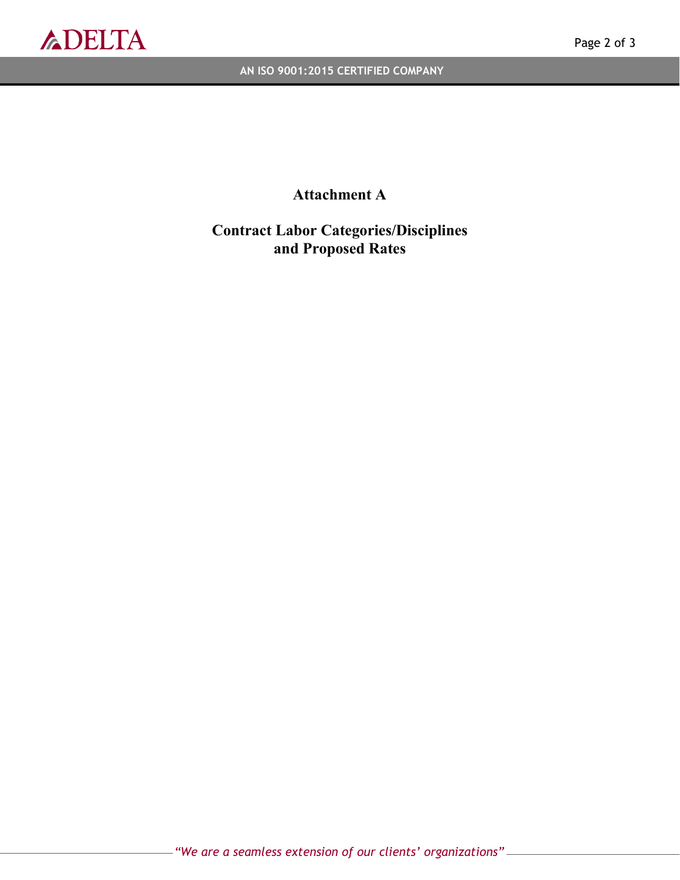

**AN ISO 9001:2015 CERTIFIED COMPANY**

## **Attachment A**

## **Contract Labor Categories/Disciplines and Proposed Rates**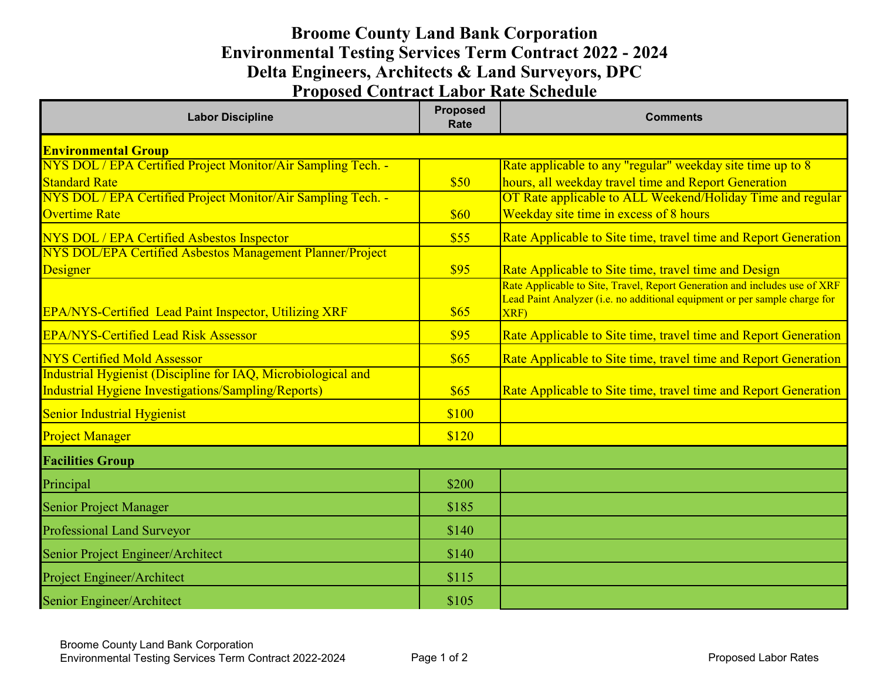## **Broome County Land Bank Corporation Proposed Contract Labor Rate Schedule Environmental Testing Services Term Contract 2022 - 2024 Delta Engineers, Architects & Land Surveyors, DPC**

| <b>Labor Discipline</b>                                       | <b>Proposed</b><br>Rate | <b>Comments</b>                                                                                                                                                  |
|---------------------------------------------------------------|-------------------------|------------------------------------------------------------------------------------------------------------------------------------------------------------------|
| <b>Environmental Group</b>                                    |                         |                                                                                                                                                                  |
| NYS DOL / EPA Certified Project Monitor/Air Sampling Tech. -  |                         | Rate applicable to any "regular" weekday site time up to 8                                                                                                       |
| <b>Standard Rate</b>                                          | \$50                    | hours, all weekday travel time and Report Generation                                                                                                             |
| NYS DOL / EPA Certified Project Monitor/Air Sampling Tech. -  |                         | OT Rate applicable to ALL Weekend/Holiday Time and regular                                                                                                       |
| <b>Overtime Rate</b>                                          | \$60                    | Weekday site time in excess of 8 hours                                                                                                                           |
| NYS DOL / EPA Certified Asbestos Inspector                    | \$55                    | Rate Applicable to Site time, travel time and Report Generation                                                                                                  |
| NYS DOL/EPA Certified Asbestos Management Planner/Project     |                         |                                                                                                                                                                  |
| Designer                                                      | \$95                    | Rate Applicable to Site time, travel time and Design                                                                                                             |
| EPA/NYS-Certified Lead Paint Inspector, Utilizing XRF         | \$65                    | Rate Applicable to Site, Travel, Report Generation and includes use of XRF<br>Lead Paint Analyzer (i.e. no additional equipment or per sample charge for<br>XRF) |
| <b>EPA/NYS-Certified Lead Risk Assessor</b>                   | \$95                    | Rate Applicable to Site time, travel time and Report Generation                                                                                                  |
| <b>NYS Certified Mold Assessor</b>                            | \$65                    | Rate Applicable to Site time, travel time and Report Generation                                                                                                  |
| Industrial Hygienist (Discipline for IAQ, Microbiological and |                         |                                                                                                                                                                  |
| Industrial Hygiene Investigations/Sampling/Reports)           | \$65                    | Rate Applicable to Site time, travel time and Report Generation                                                                                                  |
| <b>Senior Industrial Hygienist</b>                            | \$100                   |                                                                                                                                                                  |
| <b>Project Manager</b>                                        | \$120                   |                                                                                                                                                                  |
| <b>Facilities Group</b>                                       |                         |                                                                                                                                                                  |
| Principal                                                     | \$200                   |                                                                                                                                                                  |
| Senior Project Manager                                        | \$185                   |                                                                                                                                                                  |
| Professional Land Surveyor                                    | \$140                   |                                                                                                                                                                  |
| Senior Project Engineer/Architect                             | \$140                   |                                                                                                                                                                  |
| Project Engineer/Architect                                    | \$115                   |                                                                                                                                                                  |
| Senior Engineer/Architect                                     | \$105                   |                                                                                                                                                                  |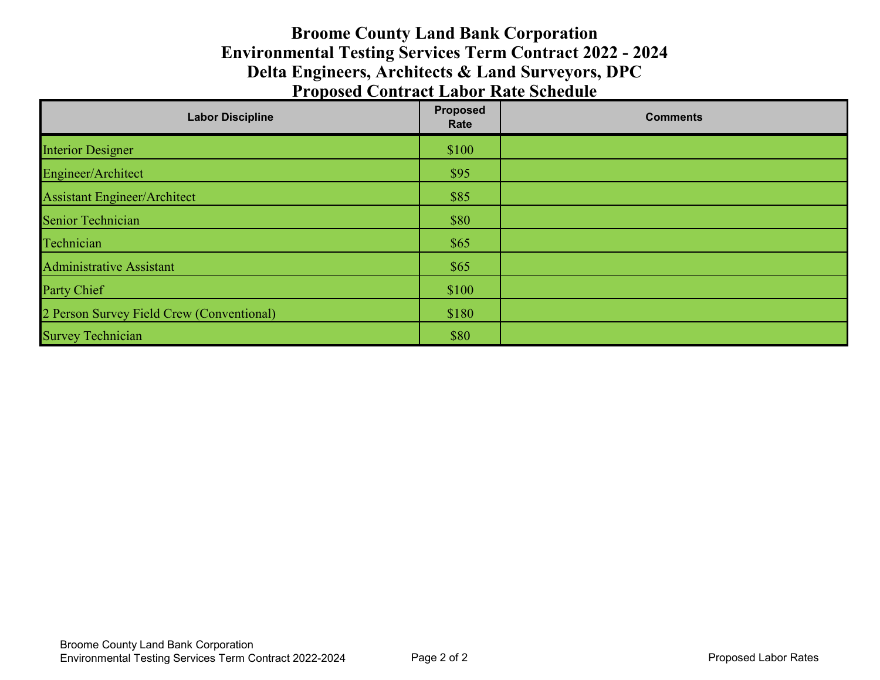## **Broome County Land Bank Corporation Proposed Contract Labor Rate Schedule Environmental Testing Services Term Contract 2022 - 2024 Delta Engineers, Architects & Land Surveyors, DPC**

| <b>Labor Discipline</b>                   | <b>Proposed</b><br>Rate | <b>Comments</b> |
|-------------------------------------------|-------------------------|-----------------|
| <b>Interior Designer</b>                  | \$100                   |                 |
| Engineer/Architect                        | \$95                    |                 |
| <b>Assistant Engineer/Architect</b>       | \$85                    |                 |
| Senior Technician                         | \$80                    |                 |
| Technician                                | \$65                    |                 |
| Administrative Assistant                  | \$65                    |                 |
| Party Chief                               | \$100                   |                 |
| 2 Person Survey Field Crew (Conventional) | \$180                   |                 |
| <b>Survey Technician</b>                  | \$80                    |                 |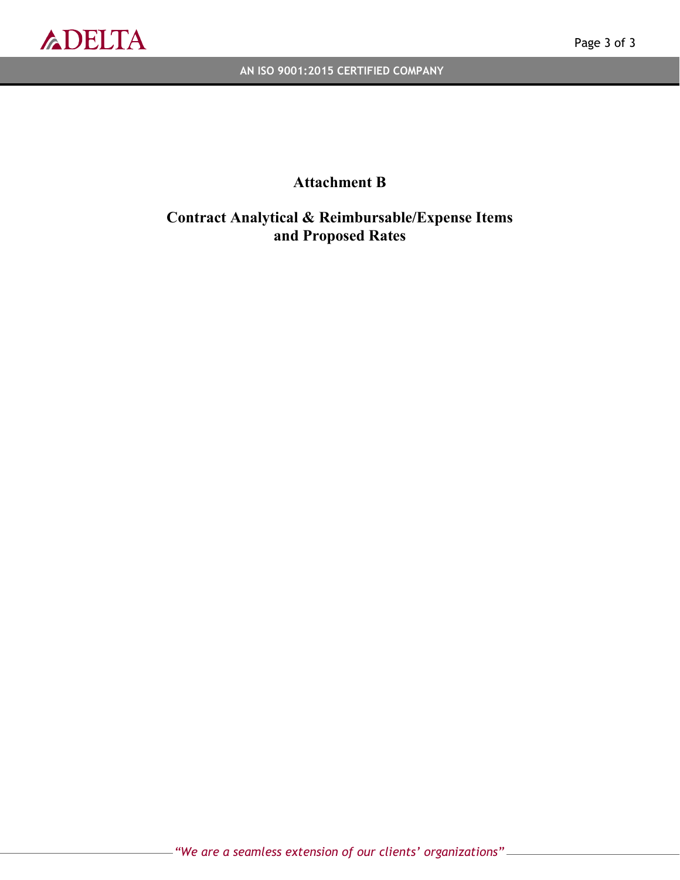

**AN ISO 9001:2015 CERTIFIED COMPANY**

## **Attachment B**

**Contract Analytical & Reimbursable/Expense Items and Proposed Rates**

*"We are a seamless extension of our clients' organizations"*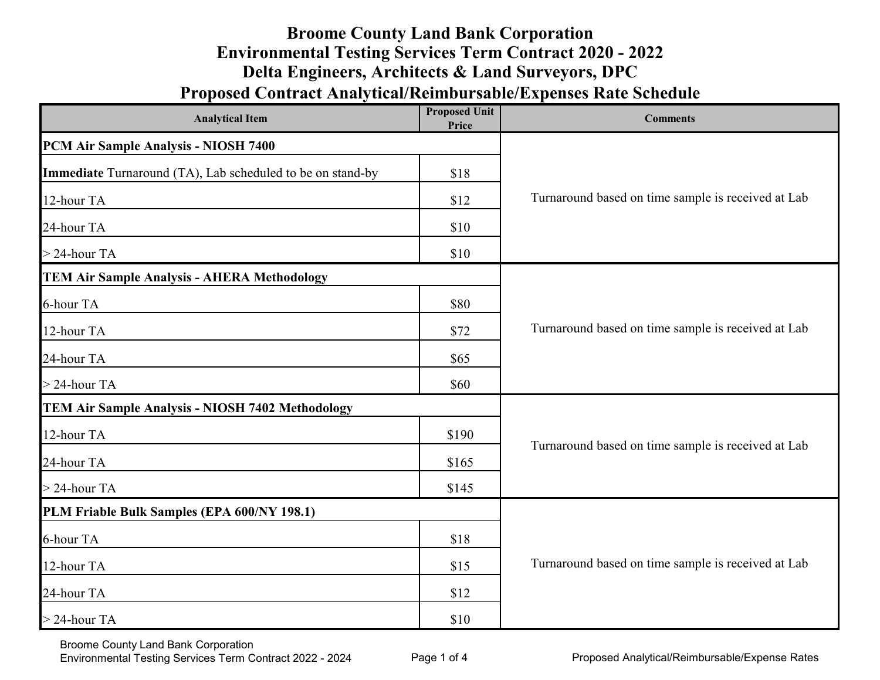# **Broome County Land Bank Corporation Environmental Testing Services Term Contract 2020 - 2022 Delta Engineers, Architects & Land Surveyors, DPC**

# **Proposed Contract Analytical/Reimbursable/Expenses Rate Schedule**

| <b>Proposed Unit</b><br><b>Analytical Item</b><br>Price    |       | <b>Comments</b>                                    |  |
|------------------------------------------------------------|-------|----------------------------------------------------|--|
| PCM Air Sample Analysis - NIOSH 7400                       |       |                                                    |  |
| Immediate Turnaround (TA), Lab scheduled to be on stand-by | \$18  |                                                    |  |
| 12-hour TA                                                 | \$12  | Turnaround based on time sample is received at Lab |  |
| 24-hour TA                                                 | \$10  |                                                    |  |
| $>$ 24-hour TA                                             | \$10  |                                                    |  |
| <b>TEM Air Sample Analysis - AHERA Methodology</b>         |       |                                                    |  |
| 6-hour TA                                                  | \$80  |                                                    |  |
| 12-hour TA                                                 | \$72  | Turnaround based on time sample is received at Lab |  |
| 24-hour TA                                                 | \$65  |                                                    |  |
| $>$ 24-hour TA                                             | \$60  |                                                    |  |
| <b>TEM Air Sample Analysis - NIOSH 7402 Methodology</b>    |       |                                                    |  |
| 12-hour TA                                                 | \$190 | Turnaround based on time sample is received at Lab |  |
| 24-hour TA                                                 | \$165 |                                                    |  |
| $>$ 24-hour TA                                             | \$145 |                                                    |  |
| PLM Friable Bulk Samples (EPA 600/NY 198.1)                |       |                                                    |  |
| 6-hour TA                                                  | \$18  |                                                    |  |
| 12-hour TA                                                 | \$15  | Turnaround based on time sample is received at Lab |  |
| 24-hour TA                                                 | \$12  |                                                    |  |
| $>$ 24-hour TA                                             | \$10  |                                                    |  |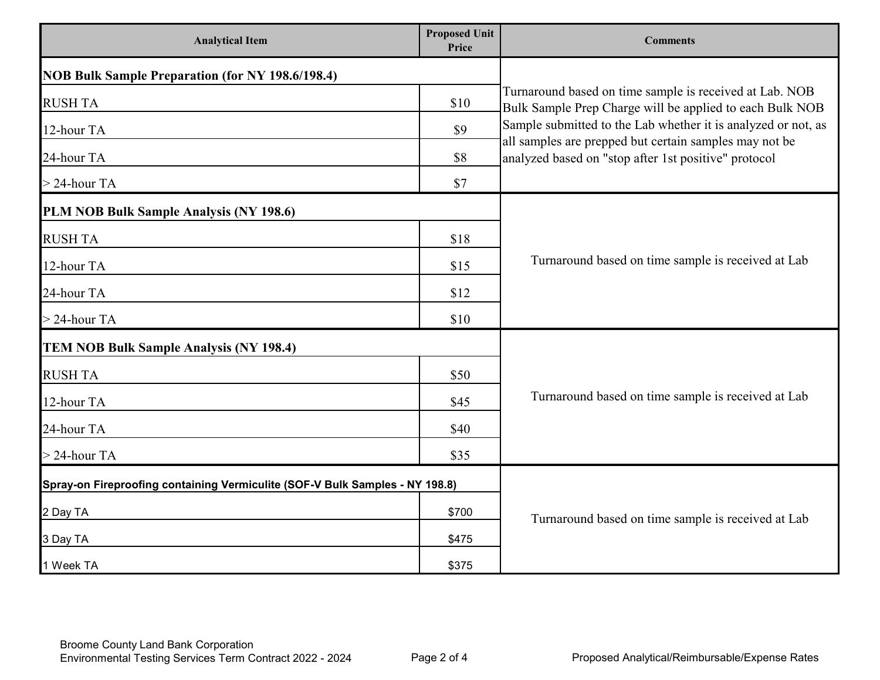| <b>Analytical Item</b>                                                       | <b>Proposed Unit</b><br>Price | <b>Comments</b>                                                                                                         |  |
|------------------------------------------------------------------------------|-------------------------------|-------------------------------------------------------------------------------------------------------------------------|--|
| <b>NOB Bulk Sample Preparation (for NY 198.6/198.4)</b>                      |                               |                                                                                                                         |  |
| <b>RUSH TA</b>                                                               | \$10                          | Turnaround based on time sample is received at Lab. NOB<br>Bulk Sample Prep Charge will be applied to each Bulk NOB     |  |
| 12-hour TA                                                                   | \$9                           | Sample submitted to the Lab whether it is analyzed or not, as<br>all samples are prepped but certain samples may not be |  |
| 24-hour TA                                                                   | \$8                           | analyzed based on "stop after 1st positive" protocol                                                                    |  |
| $>$ 24-hour TA                                                               | \$7                           |                                                                                                                         |  |
| PLM NOB Bulk Sample Analysis (NY 198.6)                                      |                               |                                                                                                                         |  |
| <b>RUSH TA</b>                                                               | \$18                          |                                                                                                                         |  |
| 12-hour TA                                                                   | \$15                          | Turnaround based on time sample is received at Lab                                                                      |  |
| 24-hour TA                                                                   | \$12                          |                                                                                                                         |  |
| $>$ 24-hour TA                                                               | \$10                          |                                                                                                                         |  |
| <b>TEM NOB Bulk Sample Analysis (NY 198.4)</b>                               |                               |                                                                                                                         |  |
| <b>RUSH TA</b>                                                               | \$50                          |                                                                                                                         |  |
| 12-hour TA                                                                   | \$45                          | Turnaround based on time sample is received at Lab                                                                      |  |
| 24-hour TA                                                                   | \$40                          |                                                                                                                         |  |
| $>$ 24-hour TA                                                               | \$35                          |                                                                                                                         |  |
| Spray-on Fireproofing containing Vermiculite (SOF-V Bulk Samples - NY 198.8) |                               |                                                                                                                         |  |
| 2 Day TA                                                                     | \$700                         | Turnaround based on time sample is received at Lab                                                                      |  |
| 3 Day TA                                                                     | \$475                         |                                                                                                                         |  |
| 1 Week TA                                                                    | \$375                         |                                                                                                                         |  |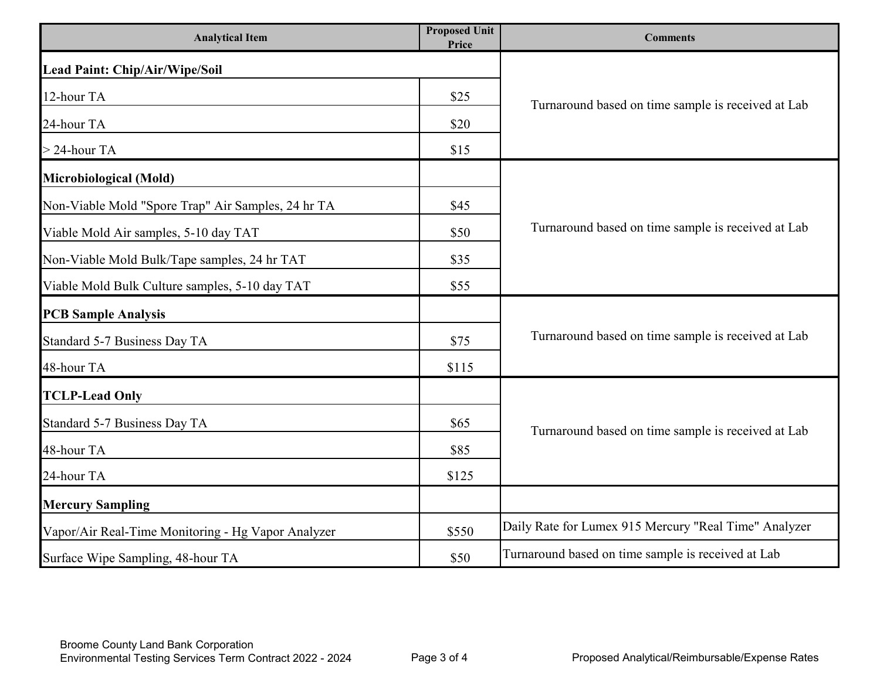| <b>Analytical Item</b>                             | <b>Proposed Unit</b><br>Price | <b>Comments</b>                                       |  |
|----------------------------------------------------|-------------------------------|-------------------------------------------------------|--|
| Lead Paint: Chip/Air/Wipe/Soil                     |                               |                                                       |  |
| 12-hour TA                                         | \$25                          | Turnaround based on time sample is received at Lab    |  |
| 24-hour TA                                         | \$20                          |                                                       |  |
| $>$ 24-hour TA                                     | \$15                          |                                                       |  |
| Microbiological (Mold)                             |                               |                                                       |  |
| Non-Viable Mold "Spore Trap" Air Samples, 24 hr TA | \$45                          |                                                       |  |
| Viable Mold Air samples, 5-10 day TAT              | \$50                          | Turnaround based on time sample is received at Lab    |  |
| Non-Viable Mold Bulk/Tape samples, 24 hr TAT       | \$35                          |                                                       |  |
| Viable Mold Bulk Culture samples, 5-10 day TAT     | \$55                          |                                                       |  |
| <b>PCB Sample Analysis</b>                         |                               |                                                       |  |
| Standard 5-7 Business Day TA                       | \$75                          | Turnaround based on time sample is received at Lab    |  |
| 48-hour TA                                         | \$115                         |                                                       |  |
| <b>TCLP-Lead Only</b>                              |                               |                                                       |  |
| Standard 5-7 Business Day TA                       | \$65                          | Turnaround based on time sample is received at Lab    |  |
| 48-hour TA                                         | \$85                          |                                                       |  |
| 24-hour TA                                         | \$125                         |                                                       |  |
| <b>Mercury Sampling</b>                            |                               |                                                       |  |
| Vapor/Air Real-Time Monitoring - Hg Vapor Analyzer | \$550                         | Daily Rate for Lumex 915 Mercury "Real Time" Analyzer |  |
| Surface Wipe Sampling, 48-hour TA                  | \$50                          | Turnaround based on time sample is received at Lab    |  |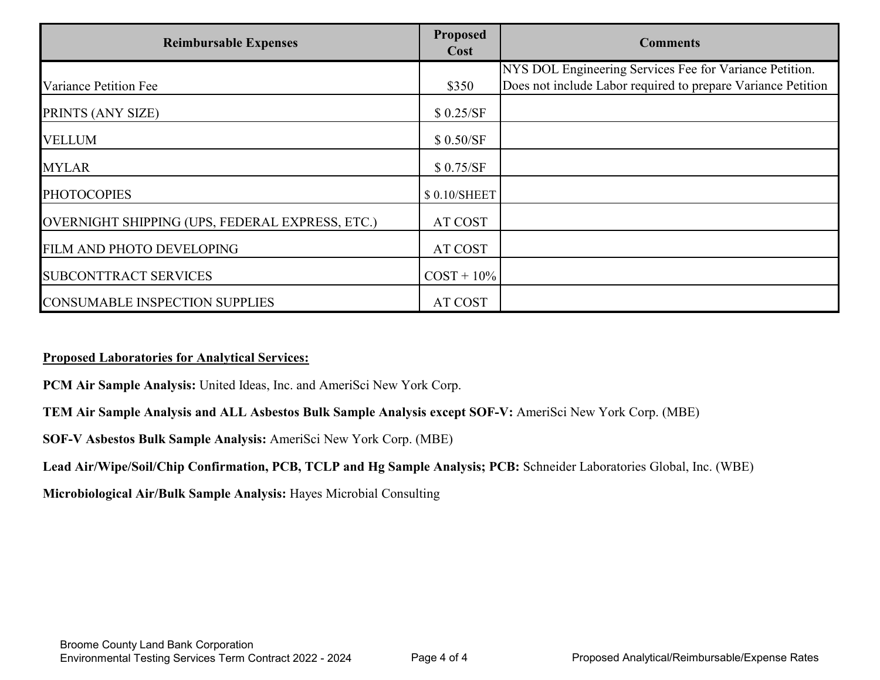| <b>Reimbursable Expenses</b>                    | <b>Proposed</b><br>Cost | <b>Comments</b>                                              |
|-------------------------------------------------|-------------------------|--------------------------------------------------------------|
|                                                 |                         | NYS DOL Engineering Services Fee for Variance Petition.      |
| Variance Petition Fee                           | \$350                   | Does not include Labor required to prepare Variance Petition |
| PRINTS (ANY SIZE)                               | \$0.25/SF               |                                                              |
| <b>VELLUM</b>                                   | \$0.50/SF               |                                                              |
| <b>MYLAR</b>                                    | \$0.75/SF               |                                                              |
| <b>PHOTOCOPIES</b>                              | \$0.10/SHEET            |                                                              |
| OVERNIGHT SHIPPING (UPS, FEDERAL EXPRESS, ETC.) | AT COST                 |                                                              |
| FILM AND PHOTO DEVELOPING                       | AT COST                 |                                                              |
| <b>SUBCONTTRACT SERVICES</b>                    | $COST + 10\%$           |                                                              |
| <b>CONSUMABLE INSPECTION SUPPLIES</b>           | AT COST                 |                                                              |

#### **Proposed Laboratories for Analytical Services:**

**PCM Air Sample Analysis:** United Ideas, Inc. and AmeriSci New York Corp.

**TEM Air Sample Analysis and ALL Asbestos Bulk Sample Analysis except SOF-V:** AmeriSci New York Corp. (MBE)

**SOF-V Asbestos Bulk Sample Analysis:** AmeriSci New York Corp. (MBE)

**Lead Air/Wipe/Soil/Chip Confirmation, PCB, TCLP and Hg Sample Analysis; PCB:** Schneider Laboratories Global, Inc. (WBE)

**Microbiological Air/Bulk Sample Analysis:** Hayes Microbial Consulting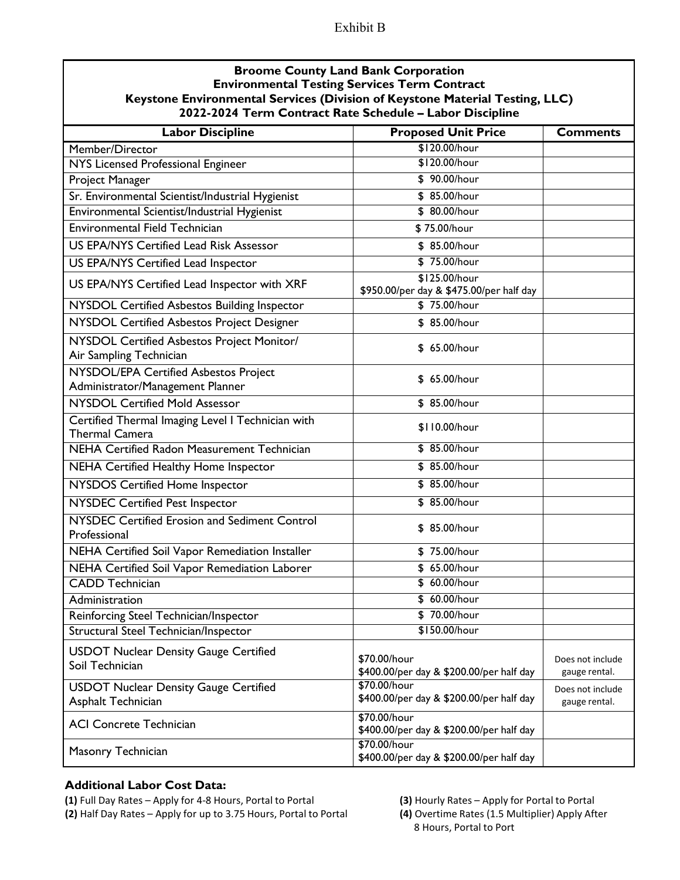### Exhibit B

| <b>Broome County Land Bank Corporation</b><br>Keystone Environmental Services (Division of Keystone Material Testing, LLC)<br>2022-2024 Term Contract Rate Schedule - Labor Discipline | <b>Environmental Testing Services Term Contract</b>       |                                   |  |
|----------------------------------------------------------------------------------------------------------------------------------------------------------------------------------------|-----------------------------------------------------------|-----------------------------------|--|
| <b>Labor Discipline</b>                                                                                                                                                                | <b>Proposed Unit Price</b>                                | <b>Comments</b>                   |  |
| Member/Director                                                                                                                                                                        | \$120.00/hour                                             |                                   |  |
| NYS Licensed Professional Engineer                                                                                                                                                     | \$120.00/hour                                             |                                   |  |
| Project Manager                                                                                                                                                                        | \$90.00/hour                                              |                                   |  |
| Sr. Environmental Scientist/Industrial Hygienist                                                                                                                                       | \$ 85.00/hour                                             |                                   |  |
| Environmental Scientist/Industrial Hygienist                                                                                                                                           | \$ 80.00/hour                                             |                                   |  |
| Environmental Field Technician                                                                                                                                                         | \$75.00/hour                                              |                                   |  |
| <b>US EPA/NYS Certified Lead Risk Assessor</b>                                                                                                                                         | \$ 85.00/hour                                             |                                   |  |
| <b>US EPA/NYS Certified Lead Inspector</b>                                                                                                                                             | \$75.00/hour                                              |                                   |  |
| US EPA/NYS Certified Lead Inspector with XRF                                                                                                                                           | \$125.00/hour<br>\$950.00/per day & \$475.00/per half day |                                   |  |
| NYSDOL Certified Asbestos Building Inspector                                                                                                                                           | \$75.00/hour                                              |                                   |  |
| NYSDOL Certified Asbestos Project Designer                                                                                                                                             | \$ 85.00/hour                                             |                                   |  |
| NYSDOL Certified Asbestos Project Monitor/<br>Air Sampling Technician                                                                                                                  | \$ 65.00/hour                                             |                                   |  |
| NYSDOL/EPA Certified Asbestos Project<br>Administrator/Management Planner                                                                                                              | \$ 65.00/hour                                             |                                   |  |
| <b>NYSDOL Certified Mold Assessor</b>                                                                                                                                                  | \$ 85.00/hour                                             |                                   |  |
| Certified Thermal Imaging Level I Technician with<br><b>Thermal Camera</b>                                                                                                             | \$110.00/hour                                             |                                   |  |
| <b>NEHA Certified Radon Measurement Technician</b>                                                                                                                                     | \$ 85.00/hour                                             |                                   |  |
| NEHA Certified Healthy Home Inspector                                                                                                                                                  | \$ 85.00/hour                                             |                                   |  |
| NYSDOS Certified Home Inspector                                                                                                                                                        | \$ 85.00/hour                                             |                                   |  |
| <b>NYSDEC Certified Pest Inspector</b>                                                                                                                                                 | \$ 85.00/hour                                             |                                   |  |
| NYSDEC Certified Erosion and Sediment Control<br>Professional                                                                                                                          | \$ 85.00/hour                                             |                                   |  |
| NEHA Certified Soil Vapor Remediation Installer                                                                                                                                        | \$75.00/hour                                              |                                   |  |
| NEHA Certified Soil Vapor Remediation Laborer                                                                                                                                          | \$ 65.00/hour                                             |                                   |  |
| <b>CADD Technician</b>                                                                                                                                                                 | \$ 60.00/hour                                             |                                   |  |
| Administration                                                                                                                                                                         | \$60.00/hour                                              |                                   |  |
| Reinforcing Steel Technician/Inspector                                                                                                                                                 | \$70.00/hour                                              |                                   |  |
| Structural Steel Technician/Inspector                                                                                                                                                  | \$150.00/hour                                             |                                   |  |
| <b>USDOT Nuclear Density Gauge Certified</b><br>Soil Technician                                                                                                                        | \$70.00/hour<br>\$400.00/per day & \$200.00/per half day  | Does not include<br>gauge rental. |  |
| <b>USDOT Nuclear Density Gauge Certified</b><br>Asphalt Technician                                                                                                                     | \$70.00/hour<br>\$400.00/per day & \$200.00/per half day  | Does not include<br>gauge rental. |  |
| <b>ACI Concrete Technician</b>                                                                                                                                                         | \$70.00/hour<br>\$400.00/per day & \$200.00/per half day  |                                   |  |
|                                                                                                                                                                                        | \$70.00/hour                                              |                                   |  |

### **Additional Labor Cost Data:**

Masonry Technician

**(1)** Full Day Rates – Apply for 4-8 Hours, Portal to Portal **(3)** Hourly Rates – Apply for Portal to Portal **(2)** Half Day Rates – Apply for up to 3.75 Hours, Portal to Portal

\$400.00/per day & \$200.00/per half day

8 Hours, Portal to Port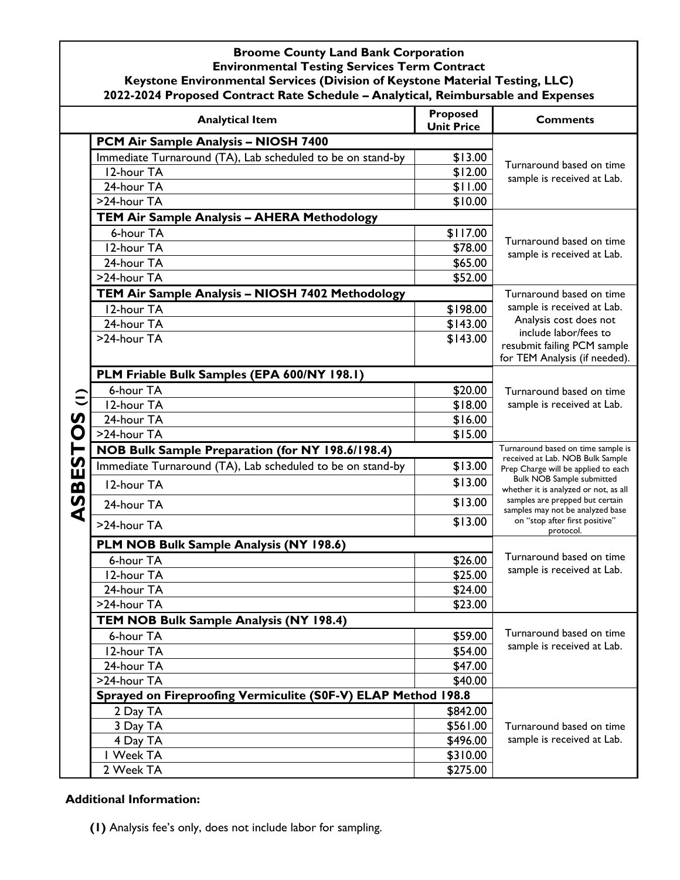|        | <b>Analytical Item</b>                                        | <b>Proposed</b><br><b>Unit Price</b> | <b>Comments</b>                                                           |
|--------|---------------------------------------------------------------|--------------------------------------|---------------------------------------------------------------------------|
|        | PCM Air Sample Analysis - NIOSH 7400                          |                                      |                                                                           |
|        | Immediate Turnaround (TA), Lab scheduled to be on stand-by    | \$13.00                              |                                                                           |
|        | 12-hour TA                                                    | \$12.00                              | Turnaround based on time<br>sample is received at Lab.                    |
|        | 24-hour TA                                                    | \$11.00                              |                                                                           |
|        | >24-hour TA                                                   | \$10.00                              |                                                                           |
|        | TEM Air Sample Analysis - AHERA Methodology                   |                                      |                                                                           |
|        | 6-hour TA                                                     | \$117.00                             | Turnaround based on time                                                  |
|        | 12-hour TA                                                    | \$78.00                              | sample is received at Lab.                                                |
|        | 24-hour TA                                                    | \$65.00                              |                                                                           |
|        | >24-hour TA                                                   | \$52.00                              |                                                                           |
|        | TEM Air Sample Analysis - NIOSH 7402 Methodology              |                                      | Turnaround based on time                                                  |
|        | 12-hour TA                                                    | \$198.00                             | sample is received at Lab.                                                |
|        | 24-hour TA                                                    | \$143.00                             | Analysis cost does not<br>include labor/fees to                           |
|        | >24-hour TA                                                   | \$143.00                             | resubmit failing PCM sample                                               |
|        |                                                               |                                      | for TEM Analysis (if needed).                                             |
|        | PLM Friable Bulk Samples (EPA 600/NY 198.1)                   |                                      |                                                                           |
|        | 6-hour TA                                                     | \$20.00                              | Turnaround based on time                                                  |
|        | 12-hour TA                                                    | \$18.00                              | sample is received at Lab.                                                |
| S      | 24-hour TA                                                    | \$16.00                              |                                                                           |
| O      | >24-hour TA                                                   | \$15.00                              |                                                                           |
|        | NOB Bulk Sample Preparation (for NY 198.6/198.4)              |                                      | Turnaround based on time sample is                                        |
|        | Immediate Turnaround (TA), Lab scheduled to be on stand-by    | \$13.00                              | received at Lab. NOB Bulk Sample<br>Prep Charge will be applied to each   |
|        | 12-hour TA                                                    | \$13.00                              | <b>Bulk NOB Sample submitted</b><br>whether it is analyzed or not, as all |
| ASBEST | 24-hour TA                                                    | \$13.00                              | samples are prepped but certain<br>samples may not be analyzed base       |
|        | >24-hour TA                                                   | \$13.00                              | on "stop after first positive"<br>protocol.                               |
|        | PLM NOB Bulk Sample Analysis (NY 198.6)                       |                                      |                                                                           |
|        | 6-hour TA                                                     | \$26.00                              | Turnaround based on time                                                  |
|        | 12-hour TA                                                    | \$25.00                              | sample is received at Lab.                                                |
|        | 24-hour TA                                                    | \$24.00                              |                                                                           |
|        | >24-hour TA                                                   | \$23.00                              |                                                                           |
|        | TEM NOB Bulk Sample Analysis (NY 198.4)                       |                                      |                                                                           |
|        | 6-hour TA                                                     | \$59.00                              | Turnaround based on time                                                  |
|        | 12-hour TA                                                    | \$54.00                              | sample is received at Lab.                                                |
|        | 24-hour TA                                                    | \$47.00                              |                                                                           |
|        | >24-hour TA                                                   | \$40.00                              |                                                                           |
|        | Sprayed on Fireproofing Vermiculite (S0F-V) ELAP Method 198.8 |                                      |                                                                           |
|        | 2 Day TA                                                      | \$842.00                             |                                                                           |
|        | 3 Day TA                                                      | \$561.00                             | Turnaround based on time                                                  |
|        | 4 Day TA                                                      | \$496.00                             | sample is received at Lab.                                                |
|        | I Week TA                                                     | \$310.00                             |                                                                           |
|        | 2 Week TA                                                     | \$275.00                             |                                                                           |

#### **Additional Information:**

**(1)** Analysis fee's only, does not include labor for sampling.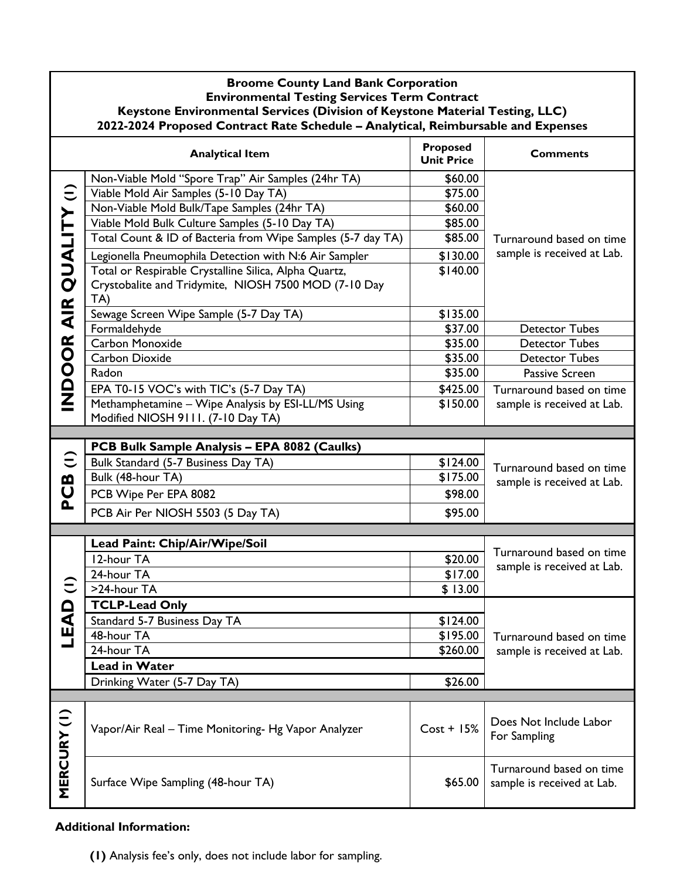|                        | <b>Broome County Land Bank Corporation</b><br><b>Environmental Testing Services Term Contract</b><br>Keystone Environmental Services (Division of Keystone Material Testing, LLC)<br>2022-2024 Proposed Contract Rate Schedule - Analytical, Reimbursable and Expenses                                                                                                                                                                                                                                                                                                                                                                                                                             |                                                                                                                                                             |                                                                                                                                                                                                               |  |
|------------------------|----------------------------------------------------------------------------------------------------------------------------------------------------------------------------------------------------------------------------------------------------------------------------------------------------------------------------------------------------------------------------------------------------------------------------------------------------------------------------------------------------------------------------------------------------------------------------------------------------------------------------------------------------------------------------------------------------|-------------------------------------------------------------------------------------------------------------------------------------------------------------|---------------------------------------------------------------------------------------------------------------------------------------------------------------------------------------------------------------|--|
|                        | <b>Analytical Item</b>                                                                                                                                                                                                                                                                                                                                                                                                                                                                                                                                                                                                                                                                             | Proposed<br><b>Unit Price</b>                                                                                                                               | <b>Comments</b>                                                                                                                                                                                               |  |
| INDOOR AIR QUALITY (1) | Non-Viable Mold "Spore Trap" Air Samples (24hr TA)<br>Viable Mold Air Samples (5-10 Day TA)<br>Non-Viable Mold Bulk/Tape Samples (24hr TA)<br>Viable Mold Bulk Culture Samples (5-10 Day TA)<br>Total Count & ID of Bacteria from Wipe Samples (5-7 day TA)<br>Legionella Pneumophila Detection with N:6 Air Sampler<br>Total or Respirable Crystalline Silica, Alpha Quartz,<br>Crystobalite and Tridymite, NIOSH 7500 MOD (7-10 Day<br>TA)<br>Sewage Screen Wipe Sample (5-7 Day TA)<br>Formaldehyde<br>Carbon Monoxide<br><b>Carbon Dioxide</b><br>Radon<br>EPA T0-15 VOC's with TIC's (5-7 Day TA)<br>Methamphetamine - Wipe Analysis by ESI-LL/MS Using<br>Modified NIOSH 9111. (7-10 Day TA) | \$60.00<br>\$75.00<br>\$60.00<br>\$85.00<br>\$85.00<br>\$130.00<br>\$140.00<br>\$135.00<br>\$37.00<br>\$35.00<br>\$35.00<br>\$35.00<br>\$425.00<br>\$150.00 | Turnaround based on time<br>sample is received at Lab.<br><b>Detector Tubes</b><br><b>Detector Tubes</b><br><b>Detector Tubes</b><br>Passive Screen<br>Turnaround based on time<br>sample is received at Lab. |  |
| $\widehat{=}$<br>PCB   | PCB Bulk Sample Analysis - EPA 8082 (Caulks)<br>Bulk Standard (5-7 Business Day TA)<br>Bulk (48-hour TA)<br>PCB Wipe Per EPA 8082<br>PCB Air Per NIOSH 5503 (5 Day TA)                                                                                                                                                                                                                                                                                                                                                                                                                                                                                                                             | \$124.00<br>\$175.00<br>\$98.00<br>\$95.00                                                                                                                  | Turnaround based on time<br>sample is received at Lab.                                                                                                                                                        |  |
|                        | Lead Paint: Chip/Air/Wipe/Soil<br>12-hour TA<br>24-hour TA<br>>24-hour TA                                                                                                                                                                                                                                                                                                                                                                                                                                                                                                                                                                                                                          | \$20.00<br>\$17.00<br>\$13.00                                                                                                                               | Turnaround based on time<br>sample is received at Lab.                                                                                                                                                        |  |
| LEAD <sup>(</sup>      | <b>TCLP-Lead Only</b><br>Standard 5-7 Business Day TA<br>48-hour TA<br>24-hour TA<br><b>Lead in Water</b><br>Drinking Water (5-7 Day TA)                                                                                                                                                                                                                                                                                                                                                                                                                                                                                                                                                           | \$124.00<br>\$195.00<br>\$260.00<br>\$26.00                                                                                                                 | Turnaround based on time<br>sample is received at Lab.                                                                                                                                                        |  |
|                        | Vapor/Air Real - Time Monitoring- Hg Vapor Analyzer                                                                                                                                                                                                                                                                                                                                                                                                                                                                                                                                                                                                                                                | $Cost + 15%$                                                                                                                                                | Does Not Include Labor<br>For Sampling                                                                                                                                                                        |  |
| MERCURY (I)            | Surface Wipe Sampling (48-hour TA)                                                                                                                                                                                                                                                                                                                                                                                                                                                                                                                                                                                                                                                                 | \$65.00                                                                                                                                                     | Turnaround based on time<br>sample is received at Lab.                                                                                                                                                        |  |

## **Additional Information:**

**(1)** Analysis fee's only, does not include labor for sampling.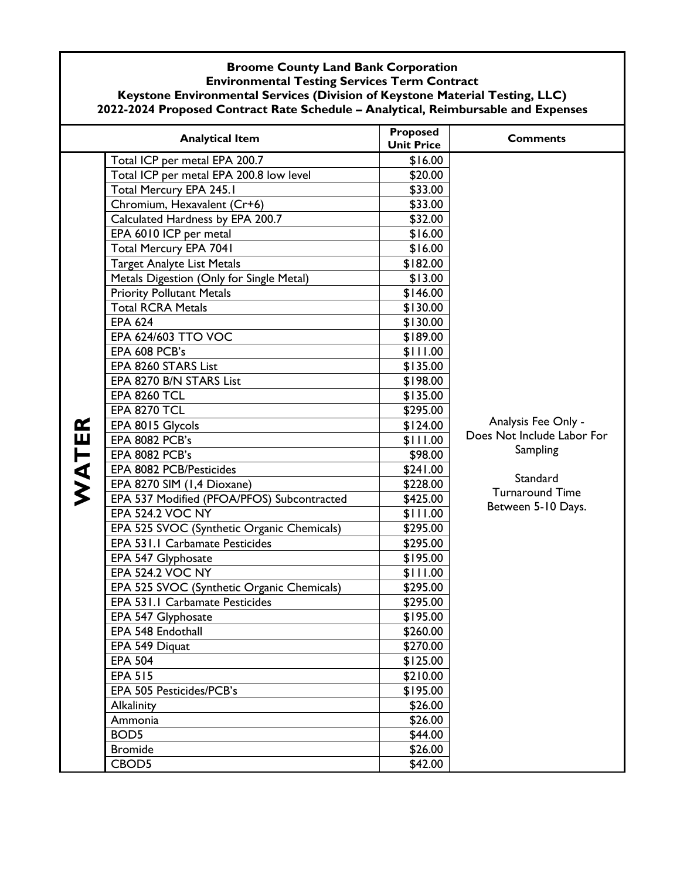| <b>Broome County Land Bank Corporation</b>                                        |
|-----------------------------------------------------------------------------------|
| <b>Environmental Testing Services Term Contract</b>                               |
| Keystone Environmental Services (Division of Keystone Material Testing, LLC)      |
| 2022-2024 Proposed Contract Rate Schedule - Analytical, Reimbursable and Expenses |

|       | <b>Analytical Item</b>                     | <b>Proposed</b><br><b>Unit Price</b> | <b>Comments</b>                                               |
|-------|--------------------------------------------|--------------------------------------|---------------------------------------------------------------|
|       | Total ICP per metal EPA 200.7              | \$16.00                              |                                                               |
|       | Total ICP per metal EPA 200.8 low level    | \$20.00                              |                                                               |
|       | Total Mercury EPA 245.1                    | \$33.00                              |                                                               |
|       | Chromium, Hexavalent (Cr+6)                | \$33.00                              |                                                               |
|       | Calculated Hardness by EPA 200.7           | \$32.00                              |                                                               |
|       | EPA 6010 ICP per metal                     | \$16.00                              |                                                               |
|       | Total Mercury EPA 7041                     | \$16.00                              |                                                               |
|       | <b>Target Analyte List Metals</b>          | \$182.00                             |                                                               |
|       | Metals Digestion (Only for Single Metal)   | \$13.00                              |                                                               |
|       | <b>Priority Pollutant Metals</b>           | \$146.00                             |                                                               |
|       | <b>Total RCRA Metals</b>                   | \$130.00                             |                                                               |
|       | <b>EPA 624</b>                             | \$130.00                             |                                                               |
|       | EPA 624/603 TTO VOC                        | \$189.00                             |                                                               |
|       | EPA 608 PCB's                              | \$111.00                             |                                                               |
|       | EPA 8260 STARS List                        | \$135.00                             |                                                               |
|       | EPA 8270 B/N STARS List                    | \$198.00                             |                                                               |
|       | <b>EPA 8260 TCL</b>                        | \$135.00                             |                                                               |
|       | <b>EPA 8270 TCL</b>                        | \$295.00                             |                                                               |
|       | EPA 8015 Glycols                           | \$124.00                             | Analysis Fee Only -<br>Does Not Include Labor For<br>Sampling |
|       | <b>EPA 8082 PCB's</b>                      | \$111.00                             |                                                               |
| WATER | <b>EPA 8082 PCB's</b>                      | \$98.00                              |                                                               |
|       | EPA 8082 PCB/Pesticides                    | \$241.00                             | Standard                                                      |
|       | EPA 8270 SIM (1,4 Dioxane)                 | \$228.00                             | <b>Turnaround Time</b><br>Between 5-10 Days.                  |
|       | EPA 537 Modified (PFOA/PFOS) Subcontracted | \$425.00                             |                                                               |
|       | <b>EPA 524.2 VOC NY</b>                    | \$111.00                             |                                                               |
|       | EPA 525 SVOC (Synthetic Organic Chemicals) | \$295.00                             |                                                               |
|       | EPA 531.1 Carbamate Pesticides             | \$295.00                             |                                                               |
|       | EPA 547 Glyphosate                         | \$195.00                             |                                                               |
|       | <b>EPA 524.2 VOC NY</b>                    | \$111.00                             |                                                               |
|       | EPA 525 SVOC (Synthetic Organic Chemicals) | \$295.00                             |                                                               |
|       | EPA 531.1 Carbamate Pesticides             | \$295.00                             |                                                               |
|       | EPA 547 Glyphosate                         | \$195.00                             |                                                               |
|       | EPA 548 Endothall                          | \$260.00                             |                                                               |
|       | EPA 549 Diquat                             | \$270.00                             |                                                               |
|       | <b>EPA 504</b>                             | \$125.00                             |                                                               |
|       | <b>EPA 515</b>                             | \$210.00                             |                                                               |
|       | EPA 505 Pesticides/PCB's                   | \$195.00                             |                                                               |
|       | Alkalinity                                 | \$26.00                              |                                                               |
|       | Ammonia                                    | \$26.00                              |                                                               |
|       | BOD <sub>5</sub>                           | \$44.00                              |                                                               |
|       | <b>Bromide</b>                             | \$26.00                              |                                                               |
|       | CBOD5                                      | \$42.00                              |                                                               |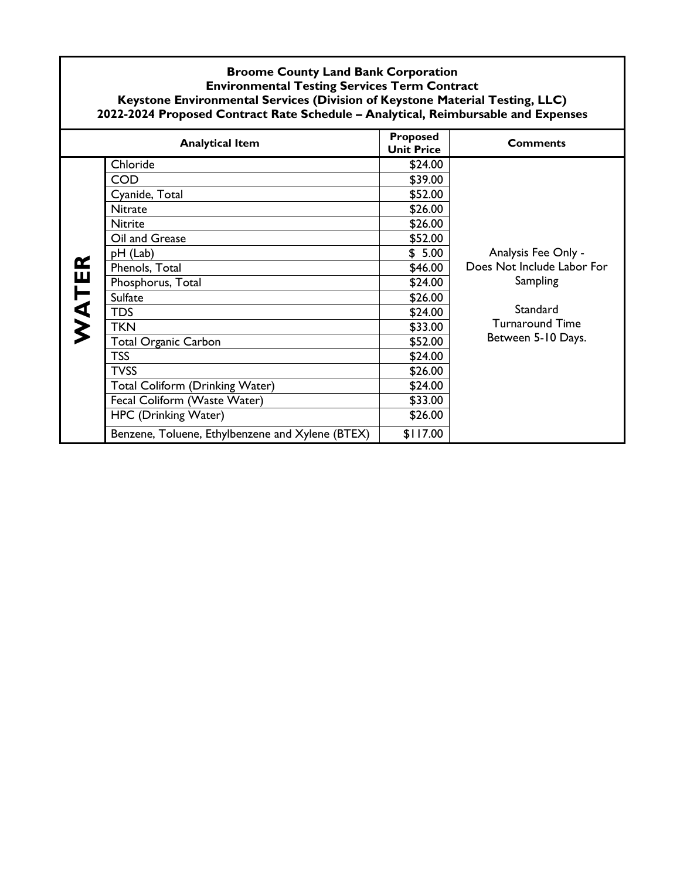|       | <b>Analytical Item</b>                           | Proposed<br><b>Unit Price</b> | <b>Comments</b>            |
|-------|--------------------------------------------------|-------------------------------|----------------------------|
|       | Chloride                                         | \$24.00                       |                            |
|       | <b>COD</b>                                       | \$39.00                       |                            |
|       | Cyanide, Total                                   | \$52.00                       |                            |
|       | Nitrate                                          | \$26.00                       |                            |
|       | <b>Nitrite</b>                                   | \$26.00                       |                            |
|       | Oil and Grease                                   | \$52.00                       |                            |
|       | pH (Lab)                                         | \$5.00                        | Analysis Fee Only -        |
| WATER | Phenols, Total                                   | \$46.00                       | Does Not Include Labor For |
|       | Phosphorus, Total                                | \$24.00                       | Sampling                   |
|       | <b>Sulfate</b>                                   | \$26.00                       |                            |
|       | <b>TDS</b>                                       | \$24.00                       | Standard                   |
|       | TKN                                              | \$33.00                       | Turnaround Time            |
|       | <b>Total Organic Carbon</b>                      | \$52.00                       | Between 5-10 Days.         |
|       | <b>TSS</b>                                       | \$24.00                       |                            |
|       | <b>TVSS</b>                                      | \$26.00                       |                            |
|       | <b>Total Coliform (Drinking Water)</b>           | \$24.00                       |                            |
|       | Fecal Coliform (Waste Water)                     | \$33.00                       |                            |
|       | HPC (Drinking Water)                             | \$26.00                       |                            |
|       | Benzene, Toluene, Ethylbenzene and Xylene (BTEX) | \$117.00                      |                            |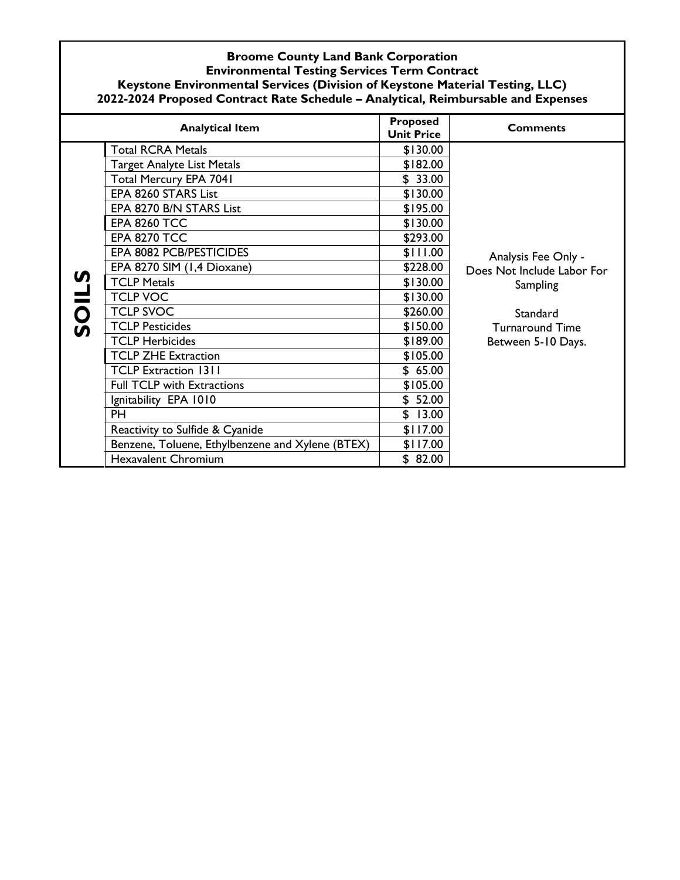|          | <b>Analytical Item</b>                           | <b>Proposed</b><br><b>Unit Price</b> | <b>Comments</b>                                               |
|----------|--------------------------------------------------|--------------------------------------|---------------------------------------------------------------|
|          | <b>Total RCRA Metals</b>                         | \$130.00                             |                                                               |
|          | <b>Target Analyte List Metals</b>                | \$182.00                             |                                                               |
|          | Total Mercury EPA 7041                           | \$33.00                              |                                                               |
|          | EPA 8260 STARS List                              | \$130.00                             |                                                               |
|          | EPA 8270 B/N STARS List                          | \$195.00                             | Analysis Fee Only -<br>Does Not Include Labor For<br>Sampling |
|          | <b>EPA 8260 TCC</b>                              | \$130.00                             |                                                               |
|          | <b>EPA 8270 TCC</b>                              | \$293.00                             |                                                               |
|          | EPA 8082 PCB/PESTICIDES                          | \$111.00                             |                                                               |
|          | EPA 8270 SIM (1,4 Dioxane)                       | \$228.00                             |                                                               |
| <u>ທ</u> | <b>TCLP Metals</b>                               | \$130.00                             |                                                               |
|          | <b>TCLP VOC</b>                                  | \$130.00                             |                                                               |
| SOILS    | <b>TCLP SVOC</b>                                 | \$260.00                             | Standard                                                      |
|          | <b>TCLP Pesticides</b>                           | \$150.00                             | <b>Turnaround Time</b>                                        |
|          | <b>TCLP Herbicides</b>                           | \$189.00                             | Between 5-10 Days.                                            |
|          | <b>TCLP ZHE Extraction</b>                       | \$105.00                             |                                                               |
|          | <b>TCLP Extraction 1311</b>                      | \$65.00                              |                                                               |
|          | <b>Full TCLP with Extractions</b>                | \$105.00                             |                                                               |
|          | Ignitability EPA 1010                            | \$52.00                              |                                                               |
|          | <b>PH</b>                                        | \$13.00                              |                                                               |
|          | Reactivity to Sulfide & Cyanide                  | \$117.00                             |                                                               |
|          | Benzene, Toluene, Ethylbenzene and Xylene (BTEX) | \$117.00                             |                                                               |
|          | <b>Hexavalent Chromium</b>                       | \$82.00                              |                                                               |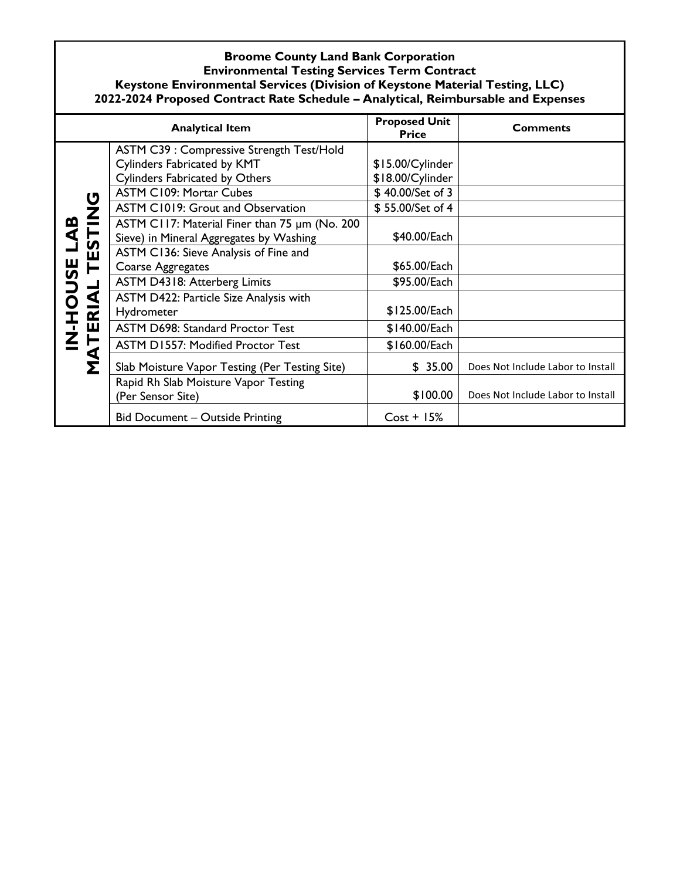|                         | <b>Analytical Item</b>                         | <b>Proposed Unit</b><br><b>Price</b> | <b>Comments</b>                   |
|-------------------------|------------------------------------------------|--------------------------------------|-----------------------------------|
|                         | ASTM C39 : Compressive Strength Test/Hold      |                                      |                                   |
|                         | <b>Cylinders Fabricated by KMT</b>             | \$15.00/Cylinder                     |                                   |
|                         | Cylinders Fabricated by Others                 | \$18.00/Cylinder                     |                                   |
|                         | <b>ASTM C109: Mortar Cubes</b>                 | \$40.00/Set of 3                     |                                   |
| LAB<br>STING            | ASTM C1019: Grout and Observation              | \$55.00/Set of 4                     |                                   |
|                         | ASTM C117: Material Finer than 75 um (No. 200  |                                      |                                   |
|                         | Sieve) in Mineral Aggregates by Washing        | \$40.00/Each                         |                                   |
| Ŵ                       | ASTM C136: Sieve Analysis of Fine and          |                                      |                                   |
|                         | Coarse Aggregates                              | \$65.00/Each                         |                                   |
|                         | ASTM D4318: Atterberg Limits                   | \$95.00/Each                         |                                   |
| $\Delta$                | ASTM D422: Particle Size Analysis with         |                                      |                                   |
| $\overline{\mathbf{r}}$ | Hydrometer                                     | \$125.00/Each                        |                                   |
| <b>N-HOUSE</b><br>Щ     | <b>ASTM D698: Standard Proctor Test</b>        | \$140.00/Each                        |                                   |
| $\ddot{F}$              | <b>ASTM D1557: Modified Proctor Test</b>       | \$160.00/Each                        |                                   |
| ΜÁ<br>Σ                 | Slab Moisture Vapor Testing (Per Testing Site) | \$35.00                              | Does Not Include Labor to Install |
|                         | Rapid Rh Slab Moisture Vapor Testing           |                                      |                                   |
|                         | (Per Sensor Site)                              | \$100.00                             | Does Not Include Labor to Install |
|                         | Bid Document - Outside Printing                | $Cost + 15%$                         |                                   |